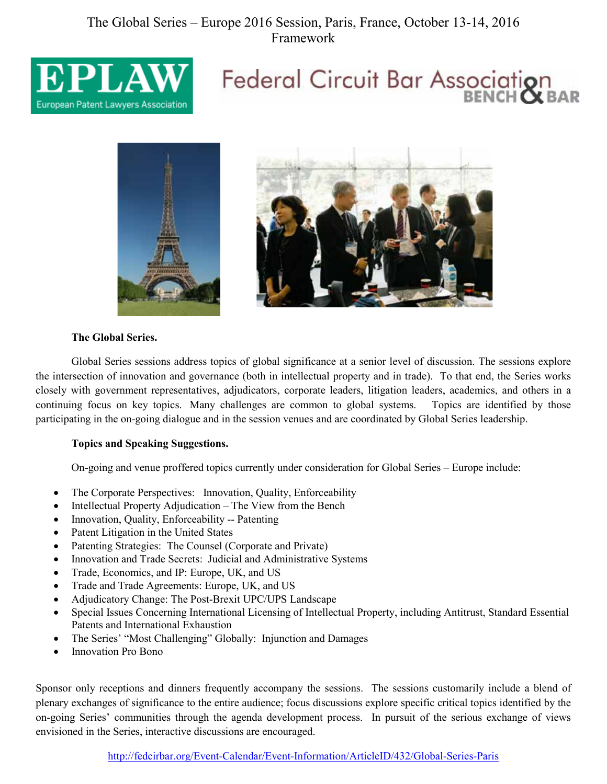### The Global Series – Europe 2016 Session, Paris, France, October 13-14, 2016 Framework



# Federal Circuit Bar Association





#### **The Global Series.**

Global Series sessions address topics of global significance at a senior level of discussion. The sessions explore the intersection of innovation and governance (both in intellectual property and in trade). To that end, the Series works closely with government representatives, adjudicators, corporate leaders, litigation leaders, academics, and others in a continuing focus on key topics. Many challenges are common to global systems. Topics are identified by those participating in the on-going dialogue and in the session venues and are coordinated by Global Series leadership.

#### **Topics and Speaking Suggestions.**

On-going and venue proffered topics currently under consideration for Global Series – Europe include:

- The Corporate Perspectives: Innovation, Quality, Enforceability
- Intellectual Property Adjudication The View from the Bench
- Innovation, Quality, Enforceability -- Patenting
- Patent Litigation in the United States
- Patenting Strategies: The Counsel (Corporate and Private)
- Innovation and Trade Secrets: Judicial and Administrative Systems
- Trade, Economics, and IP: Europe, UK, and US
- Trade and Trade Agreements: Europe, UK, and US
- Adjudicatory Change: The Post-Brexit UPC/UPS Landscape
- Special Issues Concerning International Licensing of Intellectual Property, including Antitrust, Standard Essential Patents and International Exhaustion
- The Series' "Most Challenging" Globally: Injunction and Damages
- Innovation Pro Bono

Sponsor only receptions and dinners frequently accompany the sessions. The sessions customarily include a blend of plenary exchanges of significance to the entire audience; focus discussions explore specific critical topics identified by the on-going Series' communities through the agenda development process. In pursuit of the serious exchange of views envisioned in the Series, interactive discussions are encouraged.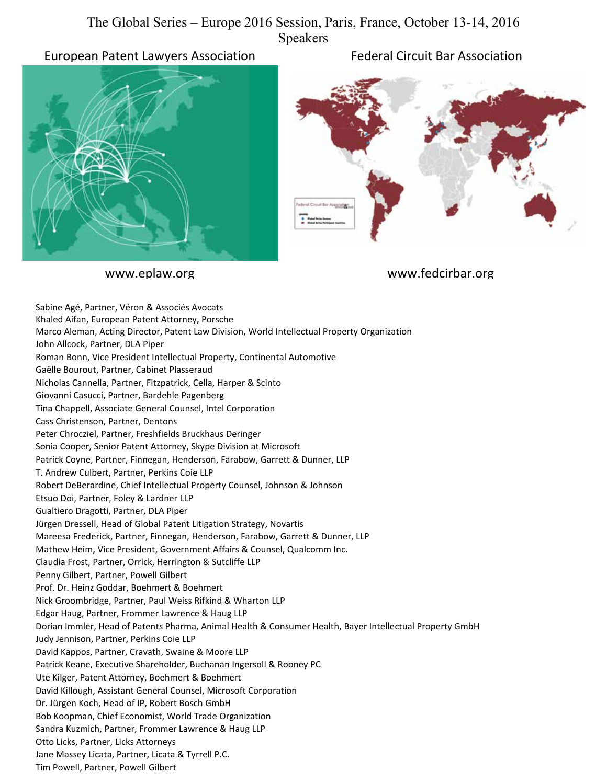#### The Global Series – Europe 2016 Session, Paris, France, October 13-14, 2016 Speakers

European Patent Lawyers Association Federal Circuit Bar Association





www.eplaw.org www.fedcirbar.org

Sabine Agé, Partner, Véron & Associés Avocats Khaled Aifan, European Patent Attorney, Porsche Marco Aleman, Acting Director, Patent Law Division, World Intellectual Property Organization John Allcock, Partner, DLA Piper Roman Bonn, Vice President Intellectual Property, Continental Automotive Gaëlle Bourout, Partner, Cabinet Plasseraud Nicholas Cannella, Partner, Fitzpatrick, Cella, Harper & Scinto Giovanni Casucci, Partner, Bardehle Pagenberg Tina Chappell, Associate General Counsel, Intel Corporation Cass Christenson, Partner, Dentons Peter Chrocziel, Partner, Freshfields Bruckhaus Deringer Sonia Cooper, Senior Patent Attorney, Skype Division at Microsoft Patrick Coyne, Partner, Finnegan, Henderson, Farabow, Garrett & Dunner, LLP T. Andrew Culbert, Partner, Perkins Coie LLP Robert DeBerardine, Chief Intellectual Property Counsel, Johnson & Johnson Etsuo Doi, Partner, Foley & Lardner LLP Gualtiero Dragotti, Partner, DLA Piper Jürgen Dressell, Head of Global Patent Litigation Strategy, Novartis Mareesa Frederick, Partner, Finnegan, Henderson, Farabow, Garrett & Dunner, LLP Mathew Heim, Vice President, Government Affairs & Counsel, Qualcomm Inc. Claudia Frost, Partner, Orrick, Herrington & Sutcliffe LLP Penny Gilbert, Partner, Powell Gilbert Prof. Dr. Heinz Goddar, Boehmert & Boehmert Nick Groombridge, Partner, Paul Weiss Rifkind & Wharton LLP Edgar Haug, Partner, Frommer Lawrence & Haug LLP Dorian Immler, Head of Patents Pharma, Animal Health & Consumer Health, Bayer Intellectual Property GmbH Judy Jennison, Partner, Perkins Coie LLP David Kappos, Partner, Cravath, Swaine & Moore LLP Patrick Keane, Executive Shareholder, Buchanan Ingersoll & Rooney PC Ute Kilger, Patent Attorney, Boehmert & Boehmert David Killough, Assistant General Counsel, Microsoft Corporation Dr. Jürgen Koch, Head of IP, Robert Bosch GmbH Bob Koopman, Chief Economist, World Trade Organization Sandra Kuzmich, Partner, Frommer Lawrence & Haug LLP Otto Licks, Partner, Licks Attorneys Jane Massey Licata, Partner, Licata & Tyrrell P.C. Tim Powell, Partner, Powell Gilbert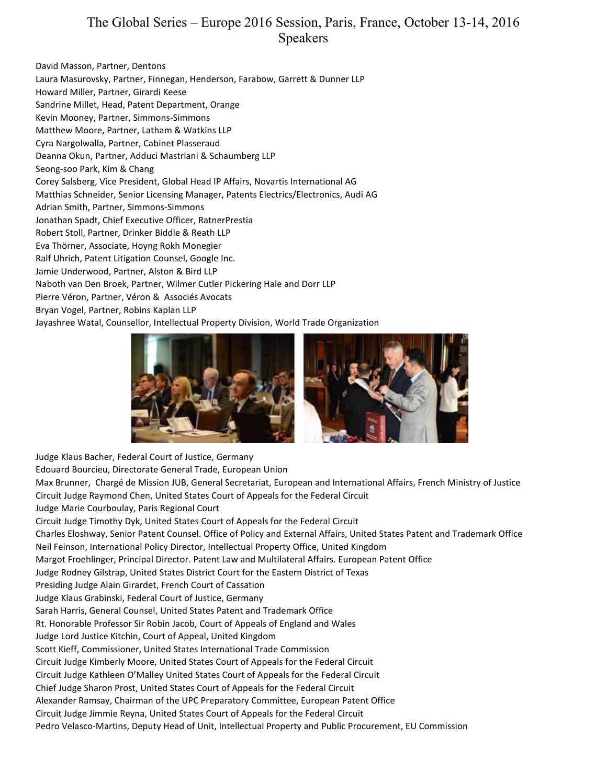#### The Global Series – Europe 2016 Session, Paris, France, October 13-14, 2016 Speakers

David Masson, Partner, Dentons Laura Masurovsky, Partner, Finnegan, Henderson, Farabow, Garrett & Dunner LLP Howard Miller, Partner, Girardi Keese Sandrine Millet, Head, Patent Department, Orange Kevin Mooney, Partner, Simmons-Simmons Matthew Moore, Partner, Latham & Watkins LLP Cyra Nargolwalla, Partner, Cabinet Plasseraud Deanna Okun, Partner, Adduci Mastriani & Schaumberg LLP Seong-soo Park, Kim & Chang Corey Salsberg, Vice President, Global Head IP Affairs, Novartis International AG Matthias Schneider, Senior Licensing Manager, Patents Electrics/Electronics, Audi AG Adrian Smith, Partner, Simmons-Simmons Jonathan Spadt, Chief Executive Officer, RatnerPrestia Robert Stoll, Partner, Drinker Biddle & Reath LLP Eva Thörner, Associate, Hoyng Rokh Monegier Ralf Uhrich, Patent Litigation Counsel, Google Inc. Jamie Underwood, Partner, Alston & Bird LLP Naboth van Den Broek, Partner, Wilmer Cutler Pickering Hale and Dorr LLP Pierre Véron, Partner, Véron & Associés Avocats Bryan Vogel, Partner, Robins Kaplan LLP Jayashree Watal, Counsellor, Intellectual Property Division, World Trade Organization



Judge Klaus Bacher, Federal Court of Justice, Germany Edouard Bourcieu, Directorate General Trade, European Union Max Brunner, Chargé de Mission JUB, General Secretariat, European and International Affairs, French Ministry of Justice Circuit Judge Raymond Chen, United States Court of Appeals for the Federal Circuit Judge Marie Courboulay, Paris Regional Court Circuit Judge Timothy Dyk, United States Court of Appeals for the Federal Circuit Charles Eloshway, Senior Patent Counsel. Office of Policy and External Affairs, United States Patent and Trademark Office Neil Feinson, International Policy Director, Intellectual Property Office, United Kingdom Margot Froehlinger, Principal Director. Patent Law and Multilateral Affairs. European Patent Office Judge Rodney Gilstrap, United States District Court for the Eastern District of Texas Presiding Judge Alain Girardet, French Court of Cassation Judge Klaus Grabinski, Federal Court of Justice, Germany Sarah Harris, General Counsel, United States Patent and Trademark Office Rt. Honorable Professor Sir Robin Jacob, Court of Appeals of England and Wales Judge Lord Justice Kitchin, Court of Appeal, United Kingdom Scott Kieff, Commissioner, United States International Trade Commission Circuit Judge Kimberly Moore, United States Court of Appeals for the Federal Circuit Circuit Judge Kathleen O'Malley United States Court of Appeals for the Federal Circuit Chief Judge Sharon Prost, United States Court of Appeals for the Federal Circuit Alexander Ramsay, Chairman of the UPC Preparatory Committee, European Patent Office Circuit Judge Jimmie Reyna, United States Court of Appeals for the Federal Circuit

Pedro Velasco-Martins, Deputy Head of Unit, Intellectual Property and Public Procurement, EU Commission